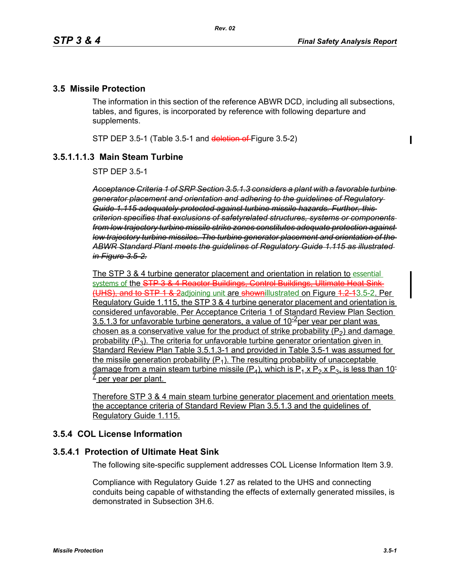$\blacksquare$ 

#### **3.5 Missile Protection**

The information in this section of the reference ABWR DCD, including all subsections, tables, and figures, is incorporated by reference with following departure and supplements.

STP DEP 3.5-1 (Table 3.5-1 and deletion of Figure 3.5-2)

### **3.5.1.1.1.3 Main Steam Turbine**

STP DEP 3.5-1

*Acceptance Criteria 1 of SRP Section 3.5.1.3 considers a plant with a favorable turbine generator placement and orientation and adhering to the guidelines of Regulatory Guide 1.115 adequately protected against turbine missile hazards. Further, this criterion specifies that exclusions of safetyrelated structures, systems or components from low trajectory turbine missile strike zones constitutes adequate protection against low trajectory turbine missiles. The turbine generator placement and orientation of the ABWR Standard Plant meets the guidelines of Regulatory Guide 1.115 as illustrated in Figure 3.5-2.*

The STP 3 & 4 turbine generator placement and orientation in relation to essential systems of the STP 3 & 4 Reactor Buildings, Control Buildings, Ultimate Heat Sink-(UHS), and to STP 1 & 2adjoining unit are shownillustrated on Figure 1.2-13.5-2. Per Regulatory Guide 1.115, the STP 3 & 4 turbine generator placement and orientation is considered unfavorable. Per Acceptance Criteria 1 of Standard Review Plan Section 3.5.1.3 for unfavorable turbine generators, a value of  $10<sup>-2</sup>$  per year per plant was chosen as a conservative value for the product of strike probability  $(P_2)$  and damage probability  $(P_3)$ . The criteria for unfavorable turbine generator orientation given in Standard Review Plan Table 3.5.1.3-1 and provided in Table 3.5-1 was assumed for the missile generation probability  $(P_1)$ . The resulting probability of unacceptable damage from a main steam turbine missile  $(P_4)$ , which is  $P_1 \times P_2 \times P_3$ , is less than 10- $\frac{1}{2}$  per year per plant.

Therefore STP 3 & 4 main steam turbine generator placement and orientation meets the acceptance criteria of Standard Review Plan 3.5.1.3 and the guidelines of Regulatory Guide 1.115.

# **3.5.4 COL License Information**

### **3.5.4.1 Protection of Ultimate Heat Sink**

The following site-specific supplement addresses COL License Information Item 3.9.

Compliance with Regulatory Guide 1.27 as related to the UHS and connecting conduits being capable of withstanding the effects of externally generated missiles, is demonstrated in Subsection 3H.6.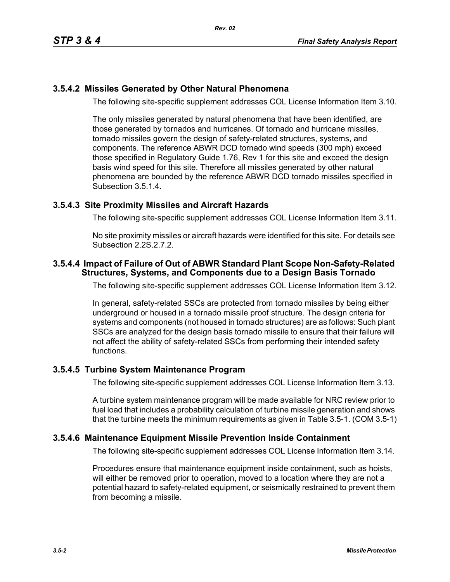# **3.5.4.2 Missiles Generated by Other Natural Phenomena**

The following site-specific supplement addresses COL License Information Item 3.10.

The only missiles generated by natural phenomena that have been identified, are those generated by tornados and hurricanes. Of tornado and hurricane missiles, tornado missiles govern the design of safety-related structures, systems, and components. The reference ABWR DCD tornado wind speeds (300 mph) exceed those specified in Regulatory Guide 1.76, Rev 1 for this site and exceed the design basis wind speed for this site. Therefore all missiles generated by other natural phenomena are bounded by the reference ABWR DCD tornado missiles specified in Subsection 3.5.1.4.

### **3.5.4.3 Site Proximity Missiles and Aircraft Hazards**

The following site-specific supplement addresses COL License Information Item 3.11.

No site proximity missiles or aircraft hazards were identified for this site. For details see Subsection 2.2S.2.7.2.

### **3.5.4.4 Impact of Failure of Out of ABWR Standard Plant Scope Non-Safety-Related Structures, Systems, and Components due to a Design Basis Tornado**

The following site-specific supplement addresses COL License Information Item 3.12.

In general, safety-related SSCs are protected from tornado missiles by being either underground or housed in a tornado missile proof structure. The design criteria for systems and components (not housed in tornado structures) are as follows: Such plant SSCs are analyzed for the design basis tornado missile to ensure that their failure will not affect the ability of safety-related SSCs from performing their intended safety functions.

## **3.5.4.5 Turbine System Maintenance Program**

The following site-specific supplement addresses COL License Information Item 3.13.

A turbine system maintenance program will be made available for NRC review prior to fuel load that includes a probability calculation of turbine missile generation and shows that the turbine meets the minimum requirements as given in Table 3.5-1. (COM 3.5-1)

### **3.5.4.6 Maintenance Equipment Missile Prevention Inside Containment**

The following site-specific supplement addresses COL License Information Item 3.14.

Procedures ensure that maintenance equipment inside containment, such as hoists, will either be removed prior to operation, moved to a location where they are not a potential hazard to safety-related equipment, or seismically restrained to prevent them from becoming a missile.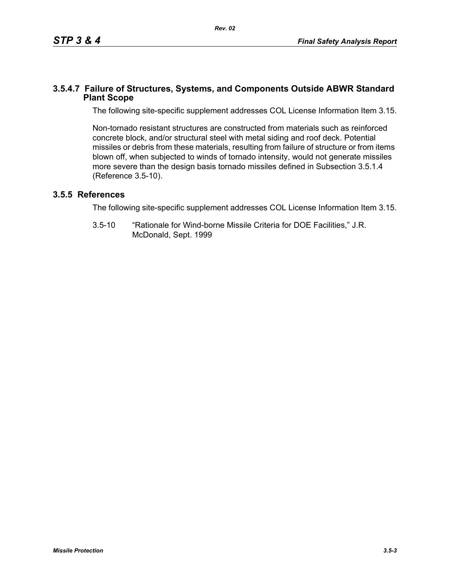### **3.5.4.7 Failure of Structures, Systems, and Components Outside ABWR Standard Plant Scope**

The following site-specific supplement addresses COL License Information Item 3.15.

Non-tornado resistant structures are constructed from materials such as reinforced concrete block, and/or structural steel with metal siding and roof deck. Potential missiles or debris from these materials, resulting from failure of structure or from items blown off, when subjected to winds of tornado intensity, would not generate missiles more severe than the design basis tornado missiles defined in Subsection 3.5.1.4 (Reference 3.5-10).

## **3.5.5 References**

The following site-specific supplement addresses COL License Information Item 3.15.

3.5-10 "Rationale for Wind-borne Missile Criteria for DOE Facilities," J.R. McDonald, Sept. 1999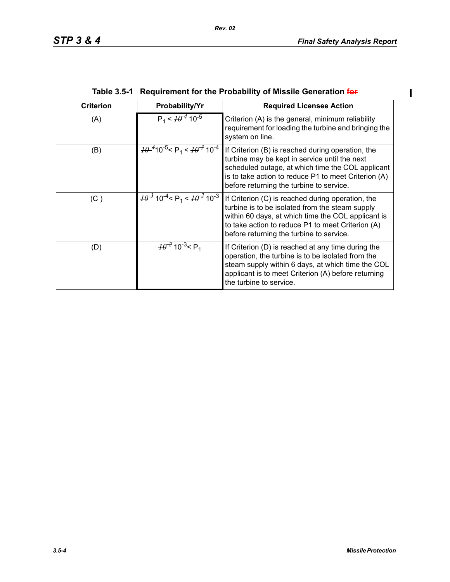$\overline{\mathbf{I}}$ 

| <b>Criterion</b> | Probability/Yr                                                                          | <b>Required Licensee Action</b>                                                                                                                                                                                                                             |  |
|------------------|-----------------------------------------------------------------------------------------|-------------------------------------------------------------------------------------------------------------------------------------------------------------------------------------------------------------------------------------------------------------|--|
| (A)              | $P_1 < \frac{10^{-4}}{10^{-5}}$                                                         | Criterion (A) is the general, minimum reliability<br>requirement for loading the turbine and bringing the<br>system on line.                                                                                                                                |  |
| (B)              | $\frac{10^{-4}}{10^{-5}}$ < P <sub>1</sub> < $\frac{10^{-3}}{10^{-4}}$ 10 <sup>-4</sup> | If Criterion (B) is reached during operation, the<br>turbine may be kept in service until the next<br>scheduled outage, at which time the COL applicant<br>is to take action to reduce P1 to meet Criterion (A)<br>before returning the turbine to service. |  |
| (C)              | $H^{3}$ 10 <sup>-4</sup> < P <sub>1</sub> < $H^{2}$ 10 <sup>-3</sup>                    | If Criterion (C) is reached during operation, the<br>turbine is to be isolated from the steam supply<br>within 60 days, at which time the COL applicant is<br>to take action to reduce P1 to meet Criterion (A)<br>before returning the turbine to service. |  |
| (D)              | $\frac{10^{-2}}{2}$ 10 <sup>-3</sup> < P <sub>1</sub>                                   | If Criterion (D) is reached at any time during the<br>operation, the turbine is to be isolated from the<br>steam supply within 6 days, at which time the COL<br>applicant is to meet Criterion (A) before returning<br>the turbine to service.              |  |

| Table 3.5-1 Requirement for the Probability of Missile Generation for |  |
|-----------------------------------------------------------------------|--|
|                                                                       |  |

*Rev. 02*